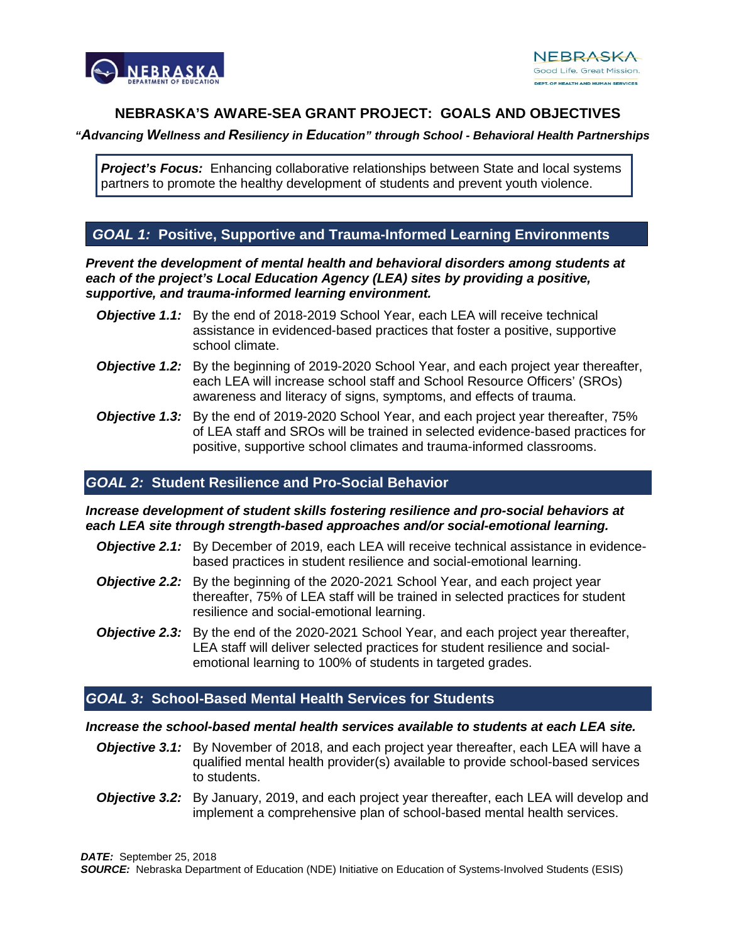

# **NEBRASKA'S AWARE-SEA GRANT PROJECT: GOALS AND OBJECTIVES**

#### *"Advancing Wellness and Resiliency in Education" through School - Behavioral Health Partnerships*

*Project's Focus:* Enhancing collaborative relationships between State and local systems partners to promote the healthy development of students and prevent youth violence.

# *GOAL 1:* **Positive, Supportive and Trauma-Informed Learning Environments**

*Prevent the development of mental health and behavioral disorders among students at each of the project's Local Education Agency (LEA) sites by providing a positive, supportive, and trauma-informed learning environment.*

- **Objective 1.1:** By the end of 2018-2019 School Year, each LEA will receive technical assistance in evidenced-based practices that foster a positive, supportive school climate.
- **Objective 1.2:** By the beginning of 2019-2020 School Year, and each project year thereafter, each LEA will increase school staff and School Resource Officers' (SROs) awareness and literacy of signs, symptoms, and effects of trauma.
- *Objective 1.3:* By the end of 2019-2020 School Year, and each project year thereafter, 75% of LEA staff and SROs will be trained in selected evidence-based practices for positive, supportive school climates and trauma-informed classrooms.

# *GOAL 2:* **Student Resilience and Pro-Social Behavior**

#### *Increase development of student skills fostering resilience and pro-social behaviors at each LEA site through strength-based approaches and/or social-emotional learning.*

- **Objective 2.1:** By December of 2019, each LEA will receive technical assistance in evidencebased practices in student resilience and social-emotional learning.
- **Objective 2.2:** By the beginning of the 2020-2021 School Year, and each project year thereafter, 75% of LEA staff will be trained in selected practices for student resilience and social-emotional learning.
- **Objective 2.3:** By the end of the 2020-2021 School Year, and each project year thereafter, LEA staff will deliver selected practices for student resilience and socialemotional learning to 100% of students in targeted grades.

# *GOAL 3:* **School-Based Mental Health Services for Students**

#### *Increase the school-based mental health services available to students at each LEA site.*

- **Objective 3.1:** By November of 2018, and each project year thereafter, each LEA will have a qualified mental health provider(s) available to provide school-based services to students.
- **Objective 3.2:** By January, 2019, and each project year thereafter, each LEA will develop and implement a comprehensive plan of school-based mental health services.